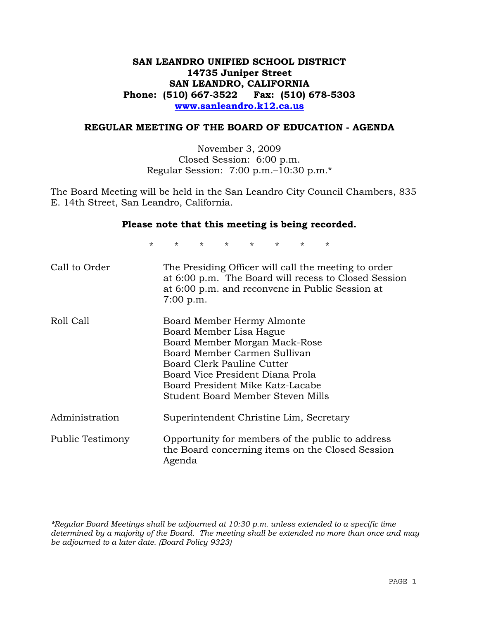## **SAN LEANDRO UNIFIED SCHOOL DISTRICT 14735 Juniper Street SAN LEANDRO, CALIFORNIA Phone: (510) 667-3522 Fax: (510) 678-5303 www.sanleandro.k12.ca.us**

### **REGULAR MEETING OF THE BOARD OF EDUCATION - AGENDA**

November 3, 2009 Closed Session: 6:00 p.m. Regular Session: 7:00 p.m.–10:30 p.m.\*

The Board Meeting will be held in the San Leandro City Council Chambers, 835 E. 14th Street, San Leandro, California.

#### **Please note that this meeting is being recorded.**

\* \* \* \* \* \* \* \*

| Call to Order           | The Presiding Officer will call the meeting to order<br>at 6:00 p.m. The Board will recess to Closed Session<br>at 6:00 p.m. and reconvene in Public Session at<br>$7:00$ p.m.                                                                                    |
|-------------------------|-------------------------------------------------------------------------------------------------------------------------------------------------------------------------------------------------------------------------------------------------------------------|
| Roll Call               | Board Member Hermy Almonte<br>Board Member Lisa Hague<br>Board Member Morgan Mack-Rose<br>Board Member Carmen Sullivan<br>Board Clerk Pauline Cutter<br>Board Vice President Diana Prola<br>Board President Mike Katz-Lacabe<br>Student Board Member Steven Mills |
| Administration          | Superintendent Christine Lim, Secretary                                                                                                                                                                                                                           |
| <b>Public Testimony</b> | Opportunity for members of the public to address<br>the Board concerning items on the Closed Session<br>Agenda                                                                                                                                                    |

*\*Regular Board Meetings shall be adjourned at 10:30 p.m. unless extended to a specific time determined by a majority of the Board. The meeting shall be extended no more than once and may be adjourned to a later date. (Board Policy 9323)*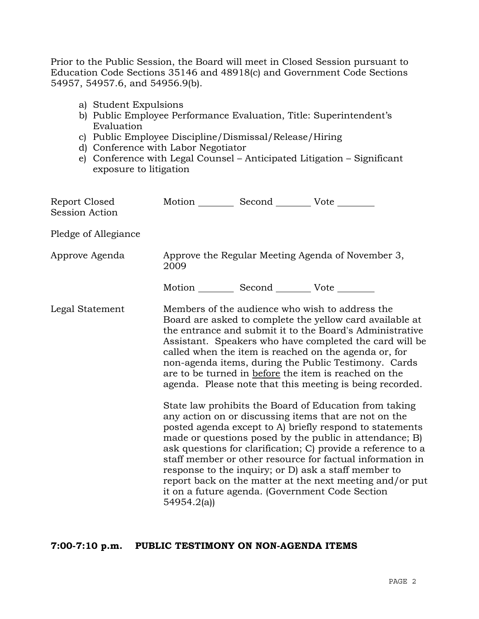Prior to the Public Session, the Board will meet in Closed Session pursuant to Education Code Sections 35146 and 48918(c) and Government Code Sections 54957, 54957.6, and 54956.9(b).

- a) Student Expulsions
- b) Public Employee Performance Evaluation, Title: Superintendent's Evaluation
- c) Public Employee Discipline/Dismissal/Release/Hiring
- d) Conference with Labor Negotiator
- e) Conference with Legal Counsel Anticipated Litigation Significant exposure to litigation

| Report Closed<br><b>Session Action</b> | Motion __________ Second __________ Vote ________         |  |                                                                                                                                                                                                                                                                                                                                                                                                                                                                                                                                                                                                                                                                                                                                                                                                                                                                                                                                                                                                                        |  |  |
|----------------------------------------|-----------------------------------------------------------|--|------------------------------------------------------------------------------------------------------------------------------------------------------------------------------------------------------------------------------------------------------------------------------------------------------------------------------------------------------------------------------------------------------------------------------------------------------------------------------------------------------------------------------------------------------------------------------------------------------------------------------------------------------------------------------------------------------------------------------------------------------------------------------------------------------------------------------------------------------------------------------------------------------------------------------------------------------------------------------------------------------------------------|--|--|
| Pledge of Allegiance                   |                                                           |  |                                                                                                                                                                                                                                                                                                                                                                                                                                                                                                                                                                                                                                                                                                                                                                                                                                                                                                                                                                                                                        |  |  |
| Approve Agenda                         | Approve the Regular Meeting Agenda of November 3,<br>2009 |  |                                                                                                                                                                                                                                                                                                                                                                                                                                                                                                                                                                                                                                                                                                                                                                                                                                                                                                                                                                                                                        |  |  |
|                                        | Motion __________ Second __________ Vote ________         |  |                                                                                                                                                                                                                                                                                                                                                                                                                                                                                                                                                                                                                                                                                                                                                                                                                                                                                                                                                                                                                        |  |  |
| Legal Statement                        | 54954.2(a)                                                |  | Members of the audience who wish to address the<br>Board are asked to complete the yellow card available at<br>the entrance and submit it to the Board's Administrative<br>Assistant. Speakers who have completed the card will be<br>called when the item is reached on the agenda or, for<br>non-agenda items, during the Public Testimony. Cards<br>are to be turned in before the item is reached on the<br>agenda. Please note that this meeting is being recorded.<br>State law prohibits the Board of Education from taking<br>any action on or discussing items that are not on the<br>posted agenda except to A) briefly respond to statements<br>made or questions posed by the public in attendance; B)<br>ask questions for clarification; C) provide a reference to a<br>staff member or other resource for factual information in<br>response to the inquiry; or D) ask a staff member to<br>report back on the matter at the next meeting and/or put<br>it on a future agenda. (Government Code Section |  |  |

## **7:00-7:10 p.m. PUBLIC TESTIMONY ON NON-AGENDA ITEMS**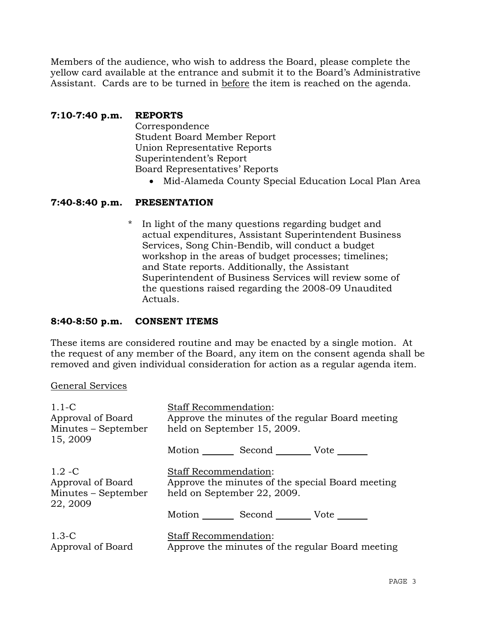Members of the audience, who wish to address the Board, please complete the yellow card available at the entrance and submit it to the Board's Administrative Assistant. Cards are to be turned in before the item is reached on the agenda.

# **7:10-7:40 p.m. REPORTS**

 Correspondence Student Board Member Report Union Representative Reports Superintendent's Report Board Representatives' Reports

• Mid-Alameda County Special Education Local Plan Area

## **7:40-8:40 p.m. PRESENTATION**

\* In light of the many questions regarding budget and actual expenditures, Assistant Superintendent Business Services, Song Chin-Bendib, will conduct a budget workshop in the areas of budget processes; timelines; and State reports. Additionally, the Assistant Superintendent of Business Services will review some of the questions raised regarding the 2008-09 Unaudited Actuals.

### **8:40-8:50 p.m. CONSENT ITEMS**

These items are considered routine and may be enacted by a single motion. At the request of any member of the Board, any item on the consent agenda shall be removed and given individual consideration for action as a regular agenda item.

### General Services

| $1.1-C$<br>Approval of Board<br>Minutes – September               | <b>Staff Recommendation:</b><br>Approve the minutes of the regular Board meeting<br>held on September 15, 2009. |  |                                                  |  |
|-------------------------------------------------------------------|-----------------------------------------------------------------------------------------------------------------|--|--------------------------------------------------|--|
| 15, 2009                                                          | Motion _________ Second __________ Vote _______                                                                 |  |                                                  |  |
| $1.2 - C$<br>Approval of Board<br>Minutes – September<br>22, 2009 | <b>Staff Recommendation:</b><br>Approve the minutes of the special Board meeting<br>held on September 22, 2009. |  |                                                  |  |
|                                                                   | Motion _________ Second _________ Vote _______                                                                  |  |                                                  |  |
| $1.3-C$<br>Approval of Board                                      | <b>Staff Recommendation:</b>                                                                                    |  | Approve the minutes of the regular Board meeting |  |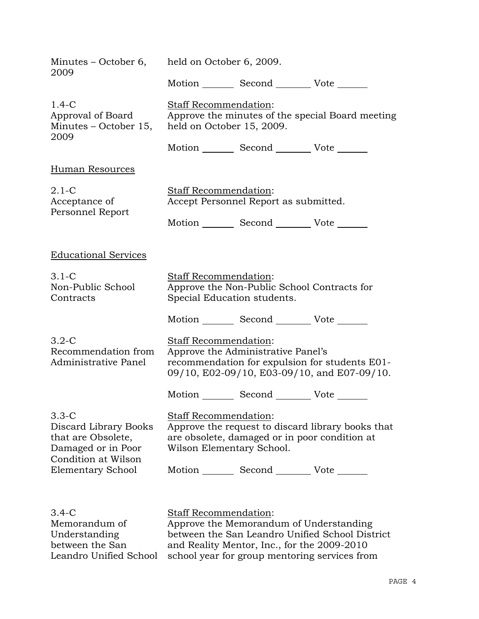| 2009                                                                                                                            | Minutes – October 6, held on October 6, 2009.                  |                                                                                        |                                                                                               |
|---------------------------------------------------------------------------------------------------------------------------------|----------------------------------------------------------------|----------------------------------------------------------------------------------------|-----------------------------------------------------------------------------------------------|
|                                                                                                                                 |                                                                | Motion Second Vote                                                                     |                                                                                               |
| $1.4-C$<br>Approval of Board<br>Minutes - October 15, held on October 15, 2009.<br>2009                                         | Staff Recommendation:                                          |                                                                                        | Approve the minutes of the special Board meeting                                              |
|                                                                                                                                 |                                                                | Motion Second Vote ______                                                              |                                                                                               |
| <b>Human Resources</b>                                                                                                          |                                                                |                                                                                        |                                                                                               |
| $2.1-C$<br>Acceptance of<br>Personnel Report                                                                                    | Staff Recommendation:<br>Accept Personnel Report as submitted. |                                                                                        |                                                                                               |
|                                                                                                                                 |                                                                | Motion _________ Second __________ Vote _______                                        |                                                                                               |
| <b>Educational Services</b>                                                                                                     |                                                                |                                                                                        |                                                                                               |
| $3.1-C$<br>Non-Public School<br>Contracts                                                                                       | <b>Staff Recommendation:</b><br>Special Education students.    | Approve the Non-Public School Contracts for                                            |                                                                                               |
|                                                                                                                                 |                                                                | Motion _________ Second __________ Vote _______                                        |                                                                                               |
| $3.2 - C$<br>Recommendation from<br>Administrative Panel                                                                        | Staff Recommendation:                                          | Approve the Administrative Panel's                                                     | recommendation for expulsion for students E01-<br>09/10, E02-09/10, E03-09/10, and E07-09/10. |
|                                                                                                                                 |                                                                | Motion Second Vote                                                                     |                                                                                               |
| $3.3-C$<br>Discard Library Books<br>that are Obsolete,<br>Damaged or in Poor<br>Condition at Wilson<br><b>Elementary School</b> | Staff Recommendation:<br>Wilson Elementary School.             | are obsolete, damaged or in poor condition at                                          | Approve the request to discard library books that                                             |
|                                                                                                                                 |                                                                | Motion _________ Second __________ Vote _______                                        |                                                                                               |
|                                                                                                                                 |                                                                |                                                                                        |                                                                                               |
| $3.4-C$<br>Memorandum of<br>Understanding<br>between the San                                                                    | Staff Recommendation:                                          | Approve the Memorandum of Understanding<br>and Reality Mentor, Inc., for the 2009-2010 | between the San Leandro Unified School District                                               |

Leandro Unified School and Reality Mentor, Inc., for the 2009-2010 school year for group mentoring services from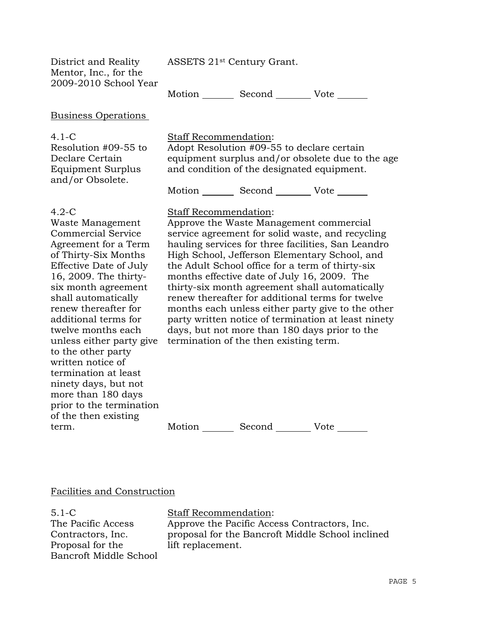ASSETS 21st Century Grant.

District and Reality Mentor, Inc., for the 2009-2010 School Year

Motion Second Vote

#### Business Operations

#### 4.1-C

Resolution #09-55 to Declare Certain Equipment Surplus and/or Obsolete.

#### Staff Recommendation:

Adopt Resolution #09-55 to declare certain equipment surplus and/or obsolete due to the age and condition of the designated equipment.

Motion Second Vote

#### 4.2-C

Waste Management Commercial Service Agreement for a Term of Thirty-Six Months Effective Date of July 16, 2009. The thirtysix month agreement shall automatically renew thereafter for additional terms for twelve months each unless either party give to the other party written notice of termination at least ninety days, but not more than 180 days prior to the termination of the then existing term.

## Staff Recommendation:

Approve the Waste Management commercial service agreement for solid waste, and recycling hauling services for three facilities, San Leandro High School, Jefferson Elementary School, and the Adult School office for a term of thirty-six months effective date of July 16, 2009. The thirty-six month agreement shall automatically renew thereafter for additional terms for twelve months each unless either party give to the other party written notice of termination at least ninety days, but not more than 180 days prior to the termination of the then existing term.

Motion Second Vote

### Facilities and Construction

5.1-C The Pacific Access Contractors, Inc. Proposal for the Bancroft Middle School Staff Recommendation: Approve the Pacific Access Contractors, Inc. proposal for the Bancroft Middle School inclined lift replacement.